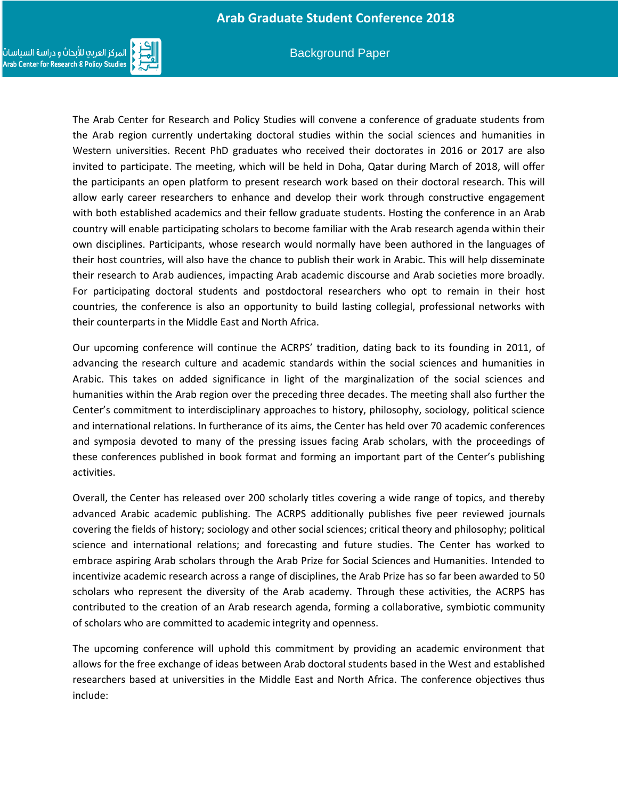

#### Background Paper

The Arab Center for Research and Policy Studies will convene a conference of graduate students from the Arab region currently undertaking doctoral studies within the social sciences and humanities in Western universities. Recent PhD graduates who received their doctorates in 2016 or 2017 are also invited to participate. The meeting, which will be held in Doha, Qatar during March of 2018, will offer the participants an open platform to present research work based on their doctoral research. This will allow early career researchers to enhance and develop their work through constructive engagement with both established academics and their fellow graduate students. Hosting the conference in an Arab country will enable participating scholars to become familiar with the Arab research agenda within their own disciplines. Participants, whose research would normally have been authored in the languages of their host countries, will also have the chance to publish their work in Arabic. This will help disseminate their research to Arab audiences, impacting Arab academic discourse and Arab societies more broadly. For participating doctoral students and postdoctoral researchers who opt to remain in their host countries, the conference is also an opportunity to build lasting collegial, professional networks with their counterparts in the Middle East and North Africa.

Our upcoming conference will continue the ACRPS' tradition, dating back to its founding in 2011, of advancing the research culture and academic standards within the social sciences and humanities in Arabic. This takes on added significance in light of the marginalization of the social sciences and humanities within the Arab region over the preceding three decades. The meeting shall also further the Center's commitment to interdisciplinary approaches to history, philosophy, sociology, political science and international relations. In furtherance of its aims, the Center has held over 70 academic conferences and symposia devoted to many of the pressing issues facing Arab scholars, with the proceedings of these conferences published in book format and forming an important part of the Center's publishing activities.

Overall, the Center has released over 200 scholarly titles covering a wide range of topics, and thereby advanced Arabic academic publishing. The ACRPS additionally publishes five peer reviewed journals covering the fields of history; sociology and other social sciences; critical theory and philosophy; political science and international relations; and forecasting and future studies. The Center has worked to embrace aspiring Arab scholars through the Arab Prize for Social Sciences and Humanities. Intended to incentivize academic research across a range of disciplines, the Arab Prize has so far been awarded to 50 scholars who represent the diversity of the Arab academy. Through these activities, the ACRPS has contributed to the creation of an Arab research agenda, forming a collaborative, symbiotic community of scholars who are committed to academic integrity and openness.

The upcoming conference will uphold this commitment by providing an academic environment that allows for the free exchange of ideas between Arab doctoral students based in the West and established researchers based at universities in the Middle East and North Africa. The conference objectives thus include: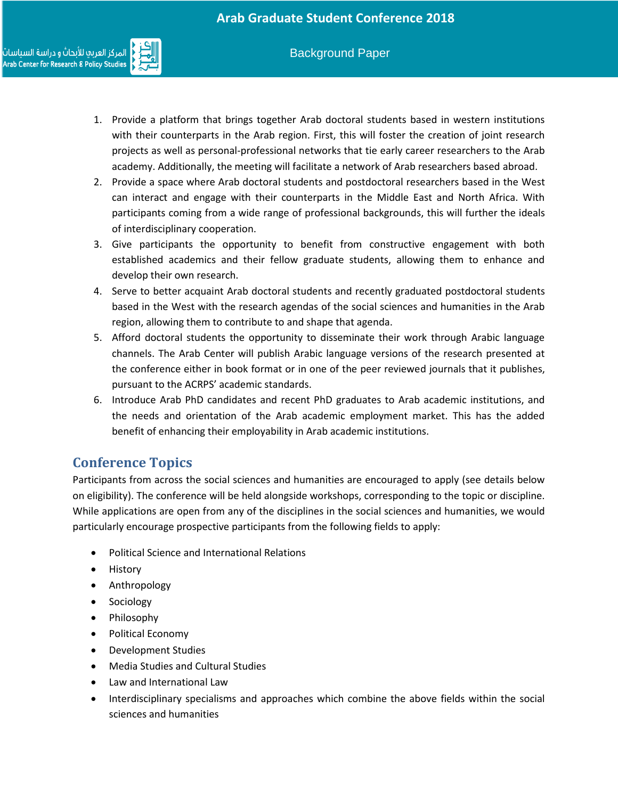

- 1. Provide a platform that brings together Arab doctoral students based in western institutions with their counterparts in the Arab region. First, this will foster the creation of joint research projects as well as personal-professional networks that tie early career researchers to the Arab academy. Additionally, the meeting will facilitate a network of Arab researchers based abroad.
- 2. Provide a space where Arab doctoral students and postdoctoral researchers based in the West can interact and engage with their counterparts in the Middle East and North Africa. With participants coming from a wide range of professional backgrounds, this will further the ideals of interdisciplinary cooperation.
- 3. Give participants the opportunity to benefit from constructive engagement with both established academics and their fellow graduate students, allowing them to enhance and develop their own research.
- 4. Serve to better acquaint Arab doctoral students and recently graduated postdoctoral students based in the West with the research agendas of the social sciences and humanities in the Arab region, allowing them to contribute to and shape that agenda.
- 5. Afford doctoral students the opportunity to disseminate their work through Arabic language channels. The Arab Center will publish Arabic language versions of the research presented at the conference either in book format or in one of the peer reviewed journals that it publishes, pursuant to the ACRPS' academic standards.
- 6. Introduce Arab PhD candidates and recent PhD graduates to Arab academic institutions, and the needs and orientation of the Arab academic employment market. This has the added benefit of enhancing their employability in Arab academic institutions.

## **Conference Topics**

Participants from across the social sciences and humanities are encouraged to apply (see details below on eligibility). The conference will be held alongside workshops, corresponding to the topic or discipline. While applications are open from any of the disciplines in the social sciences and humanities, we would particularly encourage prospective participants from the following fields to apply:

- Political Science and International Relations
- History
- Anthropology
- Sociology
- Philosophy
- Political Economy
- Development Studies
- Media Studies and Cultural Studies
- Law and International Law
- Interdisciplinary specialisms and approaches which combine the above fields within the social sciences and humanities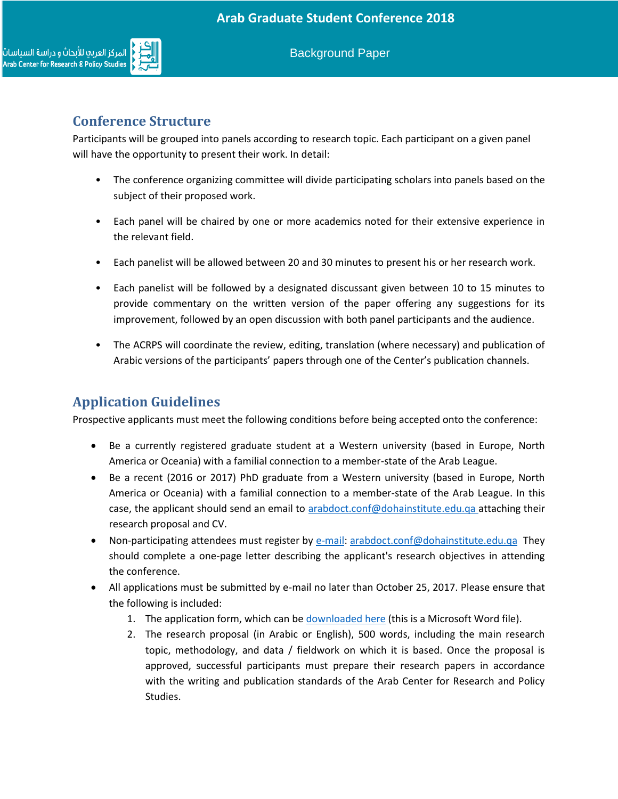

Background Paper

## **Conference Structure**

Participants will be grouped into panels according to research topic. Each participant on a given panel will have the opportunity to present their work. In detail:

- The conference organizing committee will divide participating scholars into panels based on the subject of their proposed work.
- Each panel will be chaired by one or more academics noted for their extensive experience in the relevant field.
- Each panelist will be allowed between 20 and 30 minutes to present his or her research work.
- Each panelist will be followed by a designated discussant given between 10 to 15 minutes to provide commentary on the written version of the paper offering any suggestions for its improvement, followed by an open discussion with both panel participants and the audience.
- The ACRPS will coordinate the review, editing, translation (where necessary) and publication of Arabic versions of the participants' papers through one of the Center's publication channels.

# **Application Guidelines**

Prospective applicants must meet the following conditions before being accepted onto the conference:

- Be a currently registered graduate student at a Western university (based in Europe, North America or Oceania) with a familial connection to a member-state of the Arab League.
- Be a recent (2016 or 2017) PhD graduate from a Western university (based in Europe, North America or Oceania) with a familial connection to a member-state of the Arab League. In this case, the applicant should send an email to [arabdoct.conf@dohainstitute.edu.qa](mailto:arabdoct.conf@dohainstitute.edu.qa) attaching their research proposal and CV.
- Non-participating attendees must register by [e-mail: arabdoct.conf@dohainstitute.edu.qa](mailto:arabdoct.conf@dohainstitute.edu.qa) They should complete a one-page letter describing the applicant's research objectives in attending the conference.
- All applications must be submitted by e-mail no later than October 25, 2017. Please ensure that the following is included:
	- 1. The application form, which can be [downloaded here](https://www.dohainstitute.org/en/Lists/ACRPS-PDFDocumentLibrary/Application_form_for_the_Arab_Graduate_Student_Conference_March_2018.docx) (this is a Microsoft Word file).
	- 2. The research proposal (in Arabic or English), 500 words, including the main research topic, methodology, and data / fieldwork on which it is based. Once the proposal is approved, successful participants must prepare their research papers in accordance with the writing and publication standards of the Arab Center for Research and Policy Studies.